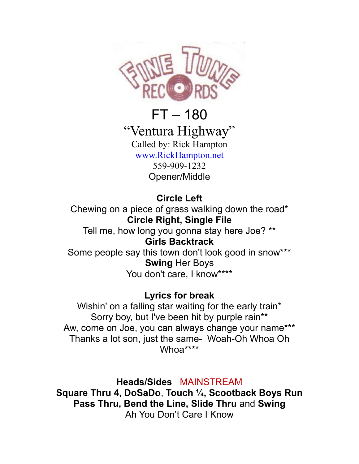

FT – 180 "Ventura Highway" Called by: Rick Hampton [www.RickHampton.net](http://www.RickHampton.net/) 559-909-1232 Opener/Middle

**Circle Left**

Chewing on a piece of grass walking down the road\* **Circle Right, Single File**

Tell me, how long you gonna stay here Joe? \*\* **Girls Backtrack**

Some people say this town don't look good in snow\*\*\* **Swing** Her Boys You don't care, I know\*\*\*\*

## **Lyrics for break**

Wishin' on a falling star waiting for the early train<sup>\*</sup> Sorry boy, but I've been hit by purple rain\*\* Aw, come on Joe, you can always change your name\*\*\* Thanks a lot son, just the same- Woah-Oh Whoa Oh Whoa\*\*\*\*

**Heads/Sides** MAINSTREAM **Square Thru 4, DoSaDo**, **Touch ¼, Scootback Boys Run Pass Thru, Bend the Line, Slide Thru** and **Swing** Ah You Don't Care I Know